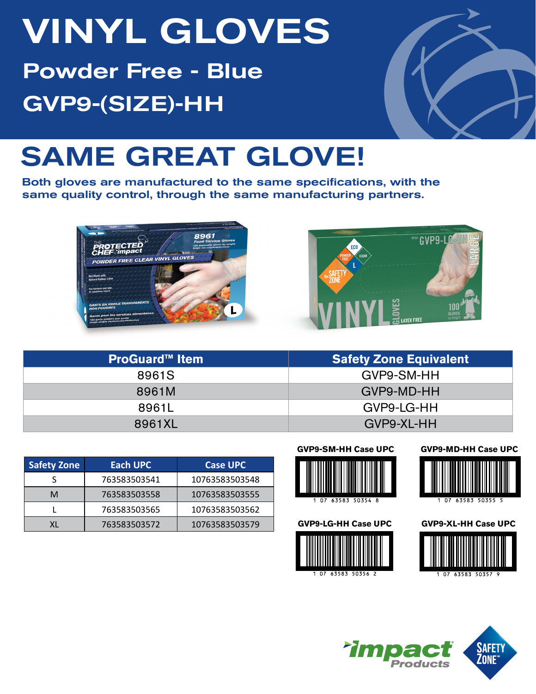# VINYL GLOVES Powder Free - Blue GVP9-(SIZE)-HH



## SAME GREAT GLOVE!

Both gloves are manufactured to the same specifications, with the same quality control, through the same manufacturing partners.





| <b>ProGuard™ Item</b> | <b>Safety Zone Equivalent</b> |  |  |  |  |
|-----------------------|-------------------------------|--|--|--|--|
| 8961S                 | GVP9-SM-HH                    |  |  |  |  |
| 8961M                 | GVP9-MD-HH                    |  |  |  |  |
| 8961L                 | GVP9-LG-HH                    |  |  |  |  |
| 8961XL                | GVP9-XL-HH                    |  |  |  |  |

| <b>Safety Zone</b> | Each UPC     | <b>Case UPC</b> |  |  |  |
|--------------------|--------------|-----------------|--|--|--|
|                    | 763583503541 | 10763583503548  |  |  |  |
| м                  | 763583503558 | 10763583503555  |  |  |  |
|                    | 763583503565 | 10763583503562  |  |  |  |
|                    | 763583503572 | 10763583503579  |  |  |  |





63583 50354 8







#### **GVP9-MD-HH Case UPC**



63583 50355  $\overline{07}$ 

**GVP9-XL-HH Case UPC**